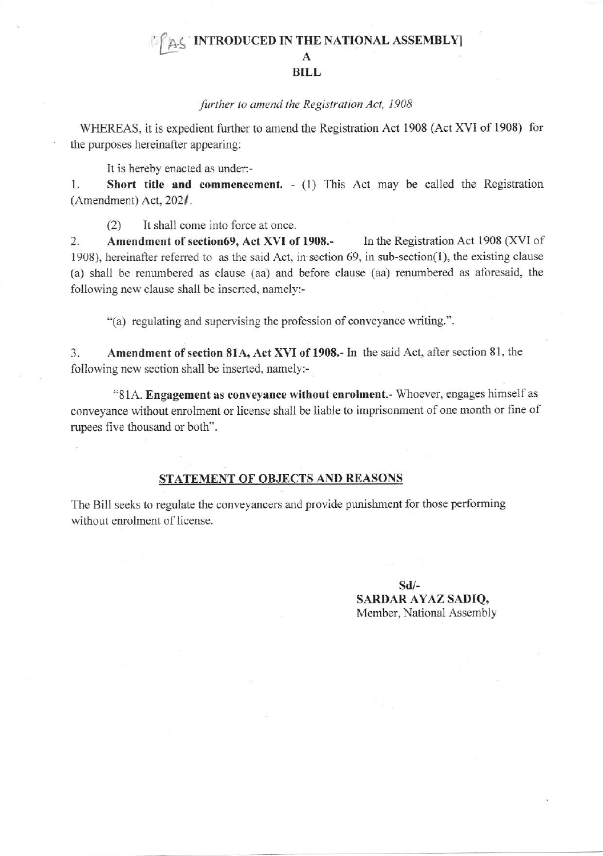## INTRODUCED IN THE NATIONAL ASSEMBLY **BILL**

## further to amend the Registration Act, 1908

WHEREAS, it is expedient further to amend the Registration Act 1908 (Act XVI of 1908) for the purposes hereinafter appearing:

It is hereby enacted as under:-

Short title and commencement. - (1) This Act may be called the Registration 1. (Amendment) Act,  $202/$ .

It shall come into force at once.  $(2)$ 

 $\overline{2}$ . Amendment of section69, Act XVI of 1908 .-In the Registration Act 1908 (XVI of 1908), hereinafter referred to as the said Act, in section  $69$ , in sub-section(1), the existing clause (a) shall be renumbered as clause (aa) and before clause (aa) renumbered as aforesaid, the following new clause shall be inserted, namely:-

"(a) regulating and supervising the profession of conveyance writing.".

 $\overline{3}$ . Amendment of section 81A, Act XVI of 1908.- In the said Act, after section 81, the following new section shall be inserted, namely:-

"81A. Engagement as conveyance without enrolment.- Whoever, engages himself as conveyance without enrolment or license shall be liable to imprisonment of one month or fine of rupees five thousand or both".

## STATEMENT OF OBJECTS AND REASONS

The Bill seeks to regulate the conveyancers and provide punishment for those performing without enrolment of license.

> $Sd/-$ **SARDAR AYAZ SADIO,** Member, National Assembly